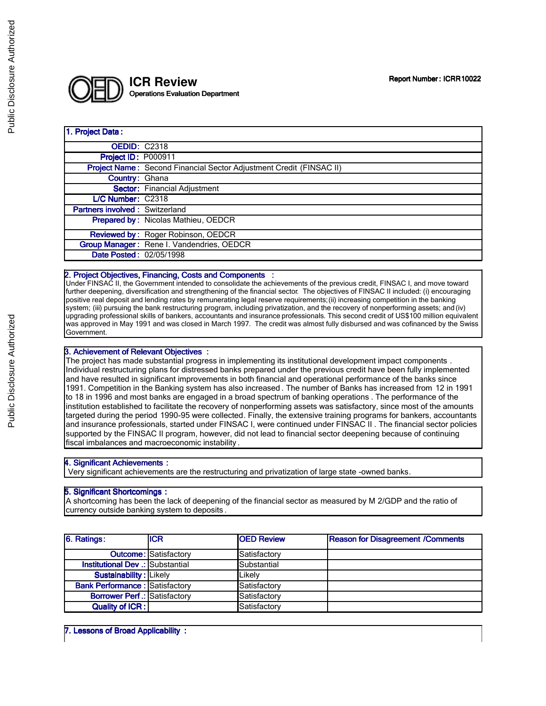

#### 1. Project Data:

| <b>OEDID: C2318</b>                   |                                                                            |
|---------------------------------------|----------------------------------------------------------------------------|
| Project ID: P000911                   |                                                                            |
|                                       | <b>Project Name:</b> Second Financial Sector Adjustment Credit (FINSAC II) |
| <b>Country: Ghana</b>                 |                                                                            |
|                                       | <b>Sector:</b> Financial Adjustment                                        |
| L/C Number: C2318                     |                                                                            |
| <b>Partners involved: Switzerland</b> |                                                                            |
|                                       | Prepared by: Nicolas Mathieu, OEDCR                                        |
|                                       | Reviewed by: Roger Robinson, OEDCR                                         |
|                                       | Group Manager: Rene I. Vandendries, OEDCR                                  |
| Date Posted: 02/05/1998               |                                                                            |
|                                       |                                                                            |

# 2. Project Objectives, Financing, Costs and Components :

Under FINSAC II, the Government intended to consolidate the achievements of the previous credit, FINSAC I, and move toward further deepening, diversification and strengthening of the financial sector. The objectives of FINSAC II included: (i) encouraging positive real deposit and lending rates by remunerating legal reserve requirements; (ii) increasing competition in the banking system; (iii) pursuing the bank restructuring program, including privatization, and the recovery of nonperforming assets; and (iv) upgrading professional skills of bankers, accountants and insurance professionals. This second credit of US\$100 million equivalent was approved in May 1991 and was closed in March 1997. The credit was almost fully disbursed and was cofinanced by the Swiss Government.

## 3. Achievement of Relevant Objectives :

The project has made substantial progress in implementing its institutional development impact components . Individual restructuring plans for distressed banks prepared under the previous credit have been fully implemented and have resulted in significant improvements in both financial and operational performance of the banks since 1991. Competition in the Banking system has also increased . The number of Banks has increased from 12 in 1991 to 18 in 1996 and most banks are engaged in a broad spectrum of banking operations . The performance of the institution established to facilitate the recovery of nonperforming assets was satisfactory, since most of the amounts targeted during the period 1990-95 were collected. Finally, the extensive training programs for bankers, accountants and insurance professionals, started under FINSAC I, were continued under FINSAC II . The financial sector policies supported by the FINSAC II program, however, did not lead to financial sector deepening because of continuing fiscal imbalances and macroeconomic instability .

#### 4. Significant Achievements :

Very significant achievements are the restructuring and privatization of large state -owned banks.

### 5. Significant Shortcomings :

A shortcoming has been the lack of deepening of the financial sector as measured by M 2/GDP and the ratio of currency outside banking system to deposits .

| 6. Ratings:                           | <b>ICR</b>                   | <b>OED Review</b>  | <b>Reason for Disagreement /Comments</b> |
|---------------------------------------|------------------------------|--------------------|------------------------------------------|
|                                       | <b>Outcome:</b> Satisfactory | Satisfactory       |                                          |
| Institutional Dev .: Substantial      |                              | <b>Substantial</b> |                                          |
| Sustainability: Likely                |                              | Likelv             |                                          |
| <b>Bank Performance: Satisfactory</b> |                              | Satisfactory       |                                          |
| <b>Borrower Perf .: Satisfactory</b>  |                              | Satisfactory       |                                          |
| Quality of ICR:                       |                              | Satisfactory       |                                          |